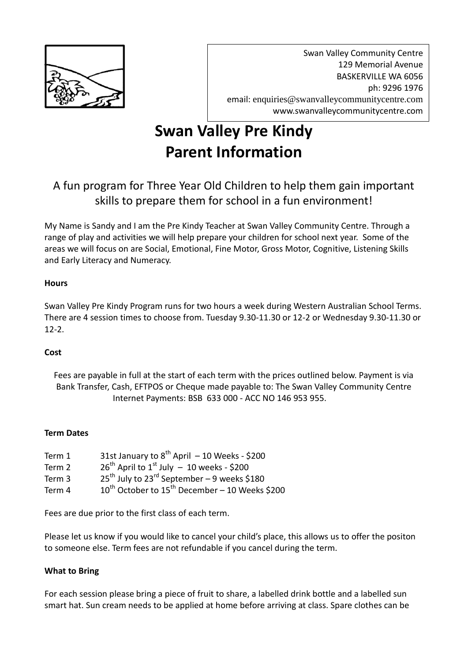

Swan Valley Community Centre 129 Memorial Avenue BASKERVILLE WA 6056 ph: 9296 1976 email: [enquiries@swanvalleycommunitycentre.com](mailto:enquiries@swanvalleycommunitycentre.com) www.swanvalleycommunitycentre.com

# **Swan Valley Pre Kindy Parent Information**

# A fun program for Three Year Old Children to help them gain important skills to prepare them for school in a fun environment!

My Name is Sandy and I am the Pre Kindy Teacher at Swan Valley Community Centre. Through a range of play and activities we will help prepare your children for school next year. Some of the areas we will focus on are Social, Emotional, Fine Motor, Gross Motor, Cognitive, Listening Skills and Early Literacy and Numeracy.

# **Hours**

Swan Valley Pre Kindy Program runs for two hours a week during Western Australian School Terms. There are 4 session times to choose from. Tuesday 9.30-11.30 or 12-2 or Wednesday 9.30-11.30 or 12-2.

# **Cost**

Fees are payable in full at the start of each term with the prices outlined below. Payment is via Bank Transfer, Cash, EFTPOS or Cheque made payable to: The Swan Valley Community Centre Internet Payments: BSB 633 000 - ACC NO 146 953 955.

#### **Term Dates**

| Term 1 | 31st January to $8^{th}$ April - 10 Weeks - \$200                   |
|--------|---------------------------------------------------------------------|
| Term 2 | $26^{th}$ April to $1^{st}$ July - 10 weeks - \$200                 |
| Term 3 | $25^{\text{th}}$ July to $23^{\text{rd}}$ September – 9 weeks \$180 |
| Term 4 | $10^{th}$ October to $15^{th}$ December – 10 Weeks \$200            |

Fees are due prior to the first class of each term.

Please let us know if you would like to cancel your child's place, this allows us to offer the positon to someone else. Term fees are not refundable if you cancel during the term.

#### **What to Bring**

For each session please bring a piece of fruit to share, a labelled drink bottle and a labelled sun smart hat. Sun cream needs to be applied at home before arriving at class. Spare clothes can be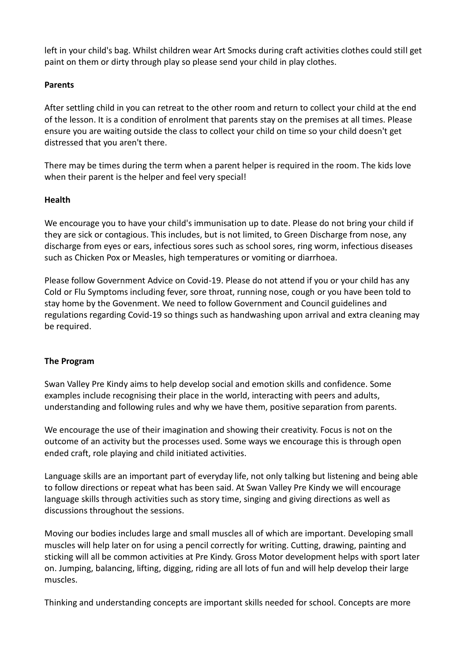left in your child's bag. Whilst children wear Art Smocks during craft activities clothes could still get paint on them or dirty through play so please send your child in play clothes.

#### **Parents**

After settling child in you can retreat to the other room and return to collect your child at the end of the lesson. It is a condition of enrolment that parents stay on the premises at all times. Please ensure you are waiting outside the class to collect your child on time so your child doesn't get distressed that you aren't there.

There may be times during the term when a parent helper is required in the room. The kids love when their parent is the helper and feel very special!

# **Health**

We encourage you to have your child's immunisation up to date. Please do not bring your child if they are sick or contagious. This includes, but is not limited, to Green Discharge from nose, any discharge from eyes or ears, infectious sores such as school sores, ring worm, infectious diseases such as Chicken Pox or Measles, high temperatures or vomiting or diarrhoea.

Please follow Government Advice on Covid-19. Please do not attend if you or your child has any Cold or Flu Symptoms including fever, sore throat, running nose, cough or you have been told to stay home by the Govenment. We need to follow Government and Council guidelines and regulations regarding Covid-19 so things such as handwashing upon arrival and extra cleaning may be required.

# **The Program**

Swan Valley Pre Kindy aims to help develop social and emotion skills and confidence. Some examples include recognising their place in the world, interacting with peers and adults, understanding and following rules and why we have them, positive separation from parents.

We encourage the use of their imagination and showing their creativity. Focus is not on the outcome of an activity but the processes used. Some ways we encourage this is through open ended craft, role playing and child initiated activities.

Language skills are an important part of everyday life, not only talking but listening and being able to follow directions or repeat what has been said. At Swan Valley Pre Kindy we will encourage language skills through activities such as story time, singing and giving directions as well as discussions throughout the sessions.

Moving our bodies includes large and small muscles all of which are important. Developing small muscles will help later on for using a pencil correctly for writing. Cutting, drawing, painting and sticking will all be common activities at Pre Kindy. Gross Motor development helps with sport later on. Jumping, balancing, lifting, digging, riding are all lots of fun and will help develop their large muscles.

Thinking and understanding concepts are important skills needed for school. Concepts are more